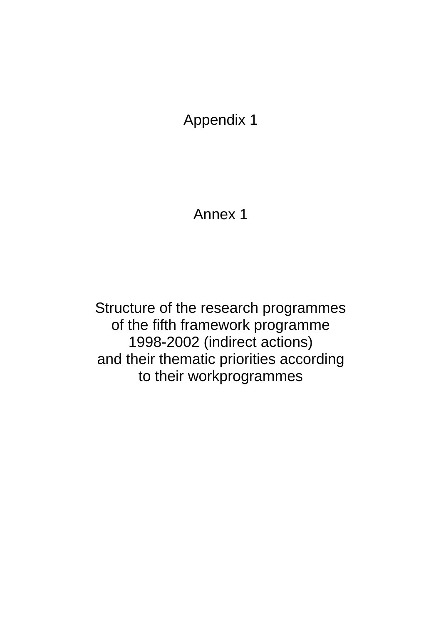Annex 1

Structure of the research programmes of the fifth framework programme 1998-2002 (indirect actions) and their thematic priorities according to their workprogrammes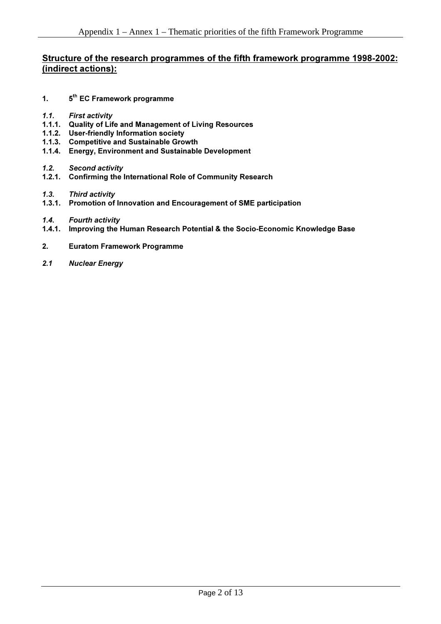#### Structure of the research programmes of the fifth framework programme 1998-2002: (indirect actions):

- 1.  $5<sup>th</sup>$  EC Framework programme
- 1.1. First activity
- 1.1.1. Quality of Life and Management of Living Resources
- 1.1.2. User-friendly Information society
- 1.1.3. Competitive and Sustainable Growth
- 1.1.4. Energy, Environment and Sustainable Development
- **1.2.** Second activity
- 1.2.1. Confirming the International Role of Community Research
- *1.3.* Third activity
- 1.3.1. Promotion of Innovation and Encouragement of SME participation
- **1.4.** Fourth activity
- 1.4.1. Improving the Human Research Potential & the Socio-Economic Knowledge Base
- 2. Euratom Framework Programme
- **2.1 Nuclear Energy**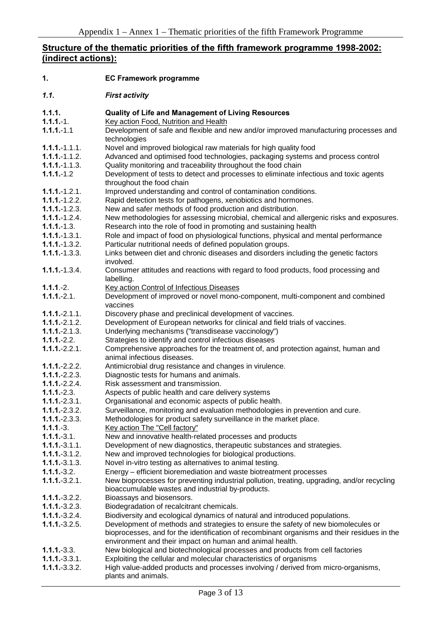## Structure of the thematic priorities of the fifth framework programme 1998-2002: (indirect actions):

| 1.                               | <b>EC Framework programme</b>                                                                                                                                                    |
|----------------------------------|----------------------------------------------------------------------------------------------------------------------------------------------------------------------------------|
| 1.1.                             | <b>First activity</b>                                                                                                                                                            |
| 1.1.1.                           | <b>Quality of Life and Management of Living Resources</b>                                                                                                                        |
| $1.1.1 - 1.$                     | Key action Food, Nutrition and Health                                                                                                                                            |
| $1.1.1 - 1.1$                    | Development of safe and flexible and new and/or improved manufacturing processes and<br>technologies                                                                             |
| $1.1.1 - 1.1.1.$                 | Novel and improved biological raw materials for high quality food                                                                                                                |
| $1.1.1 - 1.1.2$ .                | Advanced and optimised food technologies, packaging systems and process control                                                                                                  |
| $1.1.1 - 1.1.3$ .                | Quality monitoring and traceability throughout the food chain                                                                                                                    |
| $1.1.1 - 1.2$                    | Development of tests to detect and processes to eliminate infectious and toxic agents<br>throughout the food chain                                                               |
| $1.1.1 - 1.2.1$ .                | Improved understanding and control of contamination conditions.                                                                                                                  |
| $1.1.1 - 1.2.2$ .                | Rapid detection tests for pathogens, xenobiotics and hormones.                                                                                                                   |
| $1.1.1 - 1.2.3$ .                | New and safer methods of food production and distribution.                                                                                                                       |
| $1.1.1 - 1.2.4$ .                | New methodologies for assessing microbial, chemical and allergenic risks and exposures.                                                                                          |
| $1.1.1 - 1.3.$                   | Research into the role of food in promoting and sustaining health                                                                                                                |
| $1.1.1 - 1.3.1$ .                | Role and impact of food on physiological functions, physical and mental performance                                                                                              |
| $1.1.1 - 1.3.2$ .                | Particular nutritional needs of defined population groups.                                                                                                                       |
| $1.1.1 - 1.3.3.$                 | Links between diet and chronic diseases and disorders including the genetic factors<br>involved.                                                                                 |
| $1.1.1 - 1.3.4$ .                | Consumer attitudes and reactions with regard to food products, food processing and<br>labelling.                                                                                 |
| $1.1.1.-2.$                      | <b>Key action Control of Infectious Diseases</b>                                                                                                                                 |
| $1.1.1.-2.1.$                    | Development of improved or novel mono-component, multi-component and combined                                                                                                    |
|                                  | vaccines                                                                                                                                                                         |
| $1.1.1.-2.1.1.$                  | Discovery phase and preclinical development of vaccines.                                                                                                                         |
| $1.1.1.-2.1.2.$                  | Development of European networks for clinical and field trials of vaccines.                                                                                                      |
| $1.1.1 - 2.1.3$ .                | Underlying mechanisms ("transdisease vaccinology")                                                                                                                               |
| $1.1.1.-2.2.$                    | Strategies to identify and control infectious diseases                                                                                                                           |
| $1.1.1.-2.2.1.$                  | Comprehensive approaches for the treatment of, and protection against, human and<br>animal infectious diseases.                                                                  |
| $1.1.1 - 2.2.2$ .                | Antimicrobial drug resistance and changes in virulence.                                                                                                                          |
| $1.1.1 - 2.2.3.$                 | Diagnostic tests for humans and animals.                                                                                                                                         |
| $1.1.1 - 2.2.4$ .                | Risk assessment and transmission.                                                                                                                                                |
| $1.1.1.-2.3.$                    | Aspects of public health and care delivery systems                                                                                                                               |
| $1.1.1 - 2.3.1.$                 | Organisational and economic aspects of public health.                                                                                                                            |
| $1.1.1.-2.3.2.$                  | Surveillance, monitoring and evaluation methodologies in prevention and cure.                                                                                                    |
| $1.1.1 - 2.3.3.$                 | Methodologies for product safety surveillance in the market place.                                                                                                               |
| $1.1.1.-3.$                      | Key action The "Cell factory"                                                                                                                                                    |
| $1.1.1.-3.1.$                    | New and innovative health-related processes and products                                                                                                                         |
| $1.1.1.-3.1.1.$                  | Development of new diagnostics, therapeutic substances and strategies.                                                                                                           |
| $1.1.1.-3.1.2.$                  | New and improved technologies for biological productions.                                                                                                                        |
| $1.1.1.-3.1.3.$                  | Novel in-vitro testing as alternatives to animal testing.                                                                                                                        |
| $1.1.1.-3.2.$                    | Energy - efficient bioremediation and waste biotreatment processes                                                                                                               |
| $1.1.1.-3.2.1.$                  | New bioprocesses for preventing industrial pollution, treating, upgrading, and/or recycling<br>bioaccumulable wastes and industrial by-products.                                 |
| $1.1.1.-3.2.2.$                  | Bioassays and biosensors.                                                                                                                                                        |
| $1.1.1 - 3.2.3$ .                | Biodegradation of recalcitrant chemicals.                                                                                                                                        |
| $1.1.1.-3.2.4.$                  | Biodiversity and ecological dynamics of natural and introduced populations.                                                                                                      |
| $1.1.1.-3.2.5.$                  | Development of methods and strategies to ensure the safety of new biomolecules or<br>bioprocesses, and for the identification of recombinant organisms and their residues in the |
|                                  | environment and their impact on human and animal health.                                                                                                                         |
| $1.1.1.-3.3.$<br>$1.1.1.-3.3.1.$ | New biological and biotechnological processes and products from cell factories<br>Exploiting the cellular and molecular characteristics of organisms                             |
| $1.1.1.-3.3.2.$                  | High value-added products and processes involving / derived from micro-organisms,                                                                                                |
|                                  | plants and animals.                                                                                                                                                              |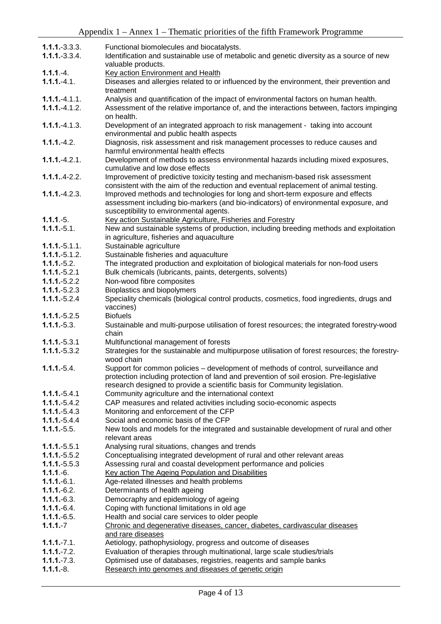| $1.1.1.-3.3.3.$   | Functional biomolecules and biocatalysts.                                                                |  |  |  |
|-------------------|----------------------------------------------------------------------------------------------------------|--|--|--|
| $1.1.1.-3.3.4.$   | Identification and sustainable use of metabolic and genetic diversity as a source of new                 |  |  |  |
|                   | valuable products.                                                                                       |  |  |  |
| $1.1.1.-4.$       | <b>Key action Environment and Health</b>                                                                 |  |  |  |
| $1.1.1.-4.1.$     | Diseases and allergies related to or influenced by the environment, their prevention and                 |  |  |  |
|                   | treatment                                                                                                |  |  |  |
| $1.1.1 - 4.1.1$ . | Analysis and quantification of the impact of environmental factors on human health.                      |  |  |  |
| $1.1.1.-4.1.2.$   | Assessment of the relative importance of, and the interactions between, factors impinging                |  |  |  |
|                   | on health.                                                                                               |  |  |  |
| $1.1.1 - 4.1.3$ . |                                                                                                          |  |  |  |
|                   | Development of an integrated approach to risk management - taking into account                           |  |  |  |
|                   | environmental and public health aspects                                                                  |  |  |  |
| $1.1.1.-4.2.$     | Diagnosis, risk assessment and risk management processes to reduce causes and                            |  |  |  |
|                   | harmful environmental health effects                                                                     |  |  |  |
| $1.1.1.-4.2.1.$   | Development of methods to assess environmental hazards including mixed exposures,                        |  |  |  |
|                   | cumulative and low dose effects                                                                          |  |  |  |
| $1.1.1.4 - 2.2.$  | Improvement of predictive toxicity testing and mechanism-based risk assessment                           |  |  |  |
|                   | consistent with the aim of the reduction and eventual replacement of animal testing.                     |  |  |  |
| $1.1.1.-4.2.3.$   | Improved methods and technologies for long and short-term exposure and effects                           |  |  |  |
|                   | assessment including bio-markers (and bio-indicators) of environmental exposure, and                     |  |  |  |
|                   | susceptibility to environmental agents.                                                                  |  |  |  |
| $1.1.1.-5.$       | Key action Sustainable Agriculture, Fisheries and Forestry                                               |  |  |  |
| $1.1.1.-5.1.$     | New and sustainable systems of production, including breeding methods and exploitation                   |  |  |  |
|                   | in agriculture, fisheries and aquaculture                                                                |  |  |  |
| $1.1.1.-5.1.1.$   | Sustainable agriculture                                                                                  |  |  |  |
| $1.1.1.-5.1.2.$   | Sustainable fisheries and aquaculture                                                                    |  |  |  |
| $1.1.1.-5.2.$     | The integrated production and exploitation of biological materials for non-food users                    |  |  |  |
| $1.1.1.-5.2.1$    | Bulk chemicals (lubricants, paints, detergents, solvents)                                                |  |  |  |
| $1.1.1.-5.2.2$    | Non-wood fibre composites                                                                                |  |  |  |
| $1.1.1.-5.2.3$    | Bioplastics and biopolymers                                                                              |  |  |  |
| $1.1.1.-5.2.4$    | Speciality chemicals (biological control products, cosmetics, food ingredients, drugs and                |  |  |  |
|                   | vaccines)                                                                                                |  |  |  |
| $1.1.1 - 5.2.5$   | <b>Biofuels</b>                                                                                          |  |  |  |
| $1.1.1.-5.3.$     | Sustainable and multi-purpose utilisation of forest resources; the integrated forestry-wood              |  |  |  |
|                   | chain                                                                                                    |  |  |  |
| $1.1.1.-5.3.1$    | Multifunctional management of forests                                                                    |  |  |  |
| $1.1.1.-5.3.2$    | Strategies for the sustainable and multipurpose utilisation of forest resources; the forestry-           |  |  |  |
|                   | wood chain                                                                                               |  |  |  |
| $1.1.1.-5.4.$     | Support for common policies - development of methods of control, surveillance and                        |  |  |  |
|                   | protection including protection of land and prevention of soil erosion. Pre-legislative                  |  |  |  |
|                   | research designed to provide a scientific basis for Community legislation.                               |  |  |  |
| $1.1.1.-5.4.1$    | Community agriculture and the international context                                                      |  |  |  |
| $1.1.1 - 5.4.2$   | CAP measures and related activities including socio-economic aspects                                     |  |  |  |
| $1.1.1 - 5.4.3$   | Monitoring and enforcement of the CFP                                                                    |  |  |  |
|                   | Social and economic basis of the CFP                                                                     |  |  |  |
| $1.1.1 - 5.4.4$   |                                                                                                          |  |  |  |
| $1.1.1.-5.5.$     | New tools and models for the integrated and sustainable development of rural and other<br>relevant areas |  |  |  |
|                   |                                                                                                          |  |  |  |
| $1.1.1.-5.5.1$    | Analysing rural situations, changes and trends                                                           |  |  |  |
| $1.1.1 - 5.5.2$   | Conceptualising integrated development of rural and other relevant areas                                 |  |  |  |
| $1.1.1 - 5.5.3$   | Assessing rural and coastal development performance and policies                                         |  |  |  |
| $1.1.1.-6.$       | Key action The Ageing Population and Disabilities                                                        |  |  |  |
| $1.1.1.-6.1.$     | Age-related illnesses and health problems                                                                |  |  |  |
| $1.1.1.-6.2.$     | Determinants of health ageing                                                                            |  |  |  |
| $1.1.1.-6.3.$     | Democraphy and epidemiology of ageing                                                                    |  |  |  |
| $1.1.1.-6.4.$     | Coping with functional limitations in old age                                                            |  |  |  |
| $1.1.1.-6.5.$     | Health and social care services to older people                                                          |  |  |  |
| $1.1.1.-7$        | Chronic and degenerative diseases, cancer, diabetes, cardivascular diseases                              |  |  |  |
|                   | and rare diseases                                                                                        |  |  |  |
| $1.1.1.-7.1.$     | Aetiology, pathophysiology, progress and outcome of diseases                                             |  |  |  |
| $1.1.1.-7.2.$     | Evaluation of therapies through multinational, large scale studies/trials                                |  |  |  |
| $1.1.1.-7.3.$     | Optimised use of databases, registries, reagents and sample banks                                        |  |  |  |
| $1.1.1.-8.$       | Research into genomes and diseases of genetic origin                                                     |  |  |  |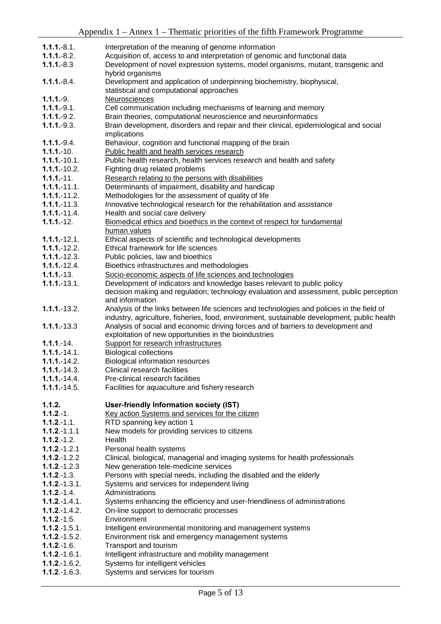| $1.1.1.-8.1.$                          |                                                                                             |  |  |  |  |
|----------------------------------------|---------------------------------------------------------------------------------------------|--|--|--|--|
|                                        | Interpretation of the meaning of genome information                                         |  |  |  |  |
| $1.1.1.-8.2.$                          | Acquisition of, access to and interpretation of genomic and functional data                 |  |  |  |  |
| $1.1.1.-8.3$                           | Development of novel expression systems, model organisms, mutant, transgenic and            |  |  |  |  |
|                                        | hybrid organisms                                                                            |  |  |  |  |
| $1.1.1.-8.4.$                          | Development and application of underpinning biochemistry, biophysical,                      |  |  |  |  |
|                                        | statistical and computational approaches                                                    |  |  |  |  |
|                                        |                                                                                             |  |  |  |  |
| $1.1.1.-9.$                            | Neurosciences                                                                               |  |  |  |  |
| $1.1.1.-9.1.$                          | Cell communication including mechanisms of learning and memory                              |  |  |  |  |
| $1.1.1.-9.2.$                          | Brain theories, computational neuroscience and neuroinformatics                             |  |  |  |  |
| $1.1.1.-9.3.$                          | Brain development, disorders and repair and their clinical, epidemiological and social      |  |  |  |  |
|                                        | implications                                                                                |  |  |  |  |
| $1.1.1.-9.4.$                          | Behaviour, cognition and functional mapping of the brain                                    |  |  |  |  |
| $1.1.1 - 10.$                          | Public health and health services research                                                  |  |  |  |  |
| $1.1.1 - 10.1.$                        | Public health research, health services research and health and safety                      |  |  |  |  |
| $1.1.1 - 10.2$ .                       |                                                                                             |  |  |  |  |
|                                        | Fighting drug related problems                                                              |  |  |  |  |
| $1.1.1 - 11.$                          | Research relating to the persons with disabilities                                          |  |  |  |  |
| $1.1.1 - 11.1.$                        | Determinants of impairment, disability and handicap                                         |  |  |  |  |
| $1.1.1 - 11.2$ .                       | Methodologies for the assessment of quality of life                                         |  |  |  |  |
| $1.1.1 - 11.3$ .                       | Innovative technological research for the rehabilitation and assistance                     |  |  |  |  |
| $1.1.1 - 11.4.$                        | Health and social care delivery                                                             |  |  |  |  |
| $1.1.1 - 12.$                          | Biomedical ethics and bioethics in the context of respect for fundamental                   |  |  |  |  |
|                                        | human values                                                                                |  |  |  |  |
| $1.1.1 - 12.1.$                        | Ethical aspects of scientific and technological developments                                |  |  |  |  |
| $1.1.1 - 12.2$ .                       | Ethical framework for life sciences                                                         |  |  |  |  |
| $1.1.1 - 12.3.$                        | Public policies, law and bioethics                                                          |  |  |  |  |
| $1.1.1 - 12.4$ .                       | Bioethics infrastructures and methodologies                                                 |  |  |  |  |
| $1.1.1 - 13.$                          | Socio-economic aspects of life sciences and technologies                                    |  |  |  |  |
|                                        |                                                                                             |  |  |  |  |
| $1.1.1 - 13.1.$                        | Development of indicators and knowledge bases relevant to public policy                     |  |  |  |  |
|                                        | decision making and regulation; technology evaluation and assessment, public perception     |  |  |  |  |
|                                        | and information                                                                             |  |  |  |  |
| $1.1.1 - 13.2.$                        | Analysis of the links between life sciences and technologies and policies in the field of   |  |  |  |  |
|                                        | industry, agriculture, fisheries, food, environment, sustainable development, public health |  |  |  |  |
| $1.1.1 - 13.3$                         | Analysis of social and economic driving forces and of barriers to development and           |  |  |  |  |
|                                        | exploitation of new opportunities in the bioindustries                                      |  |  |  |  |
|                                        |                                                                                             |  |  |  |  |
| $1.1.1 - 14.$                          | Support for research infrastructures                                                        |  |  |  |  |
|                                        |                                                                                             |  |  |  |  |
| $1.1.1 - 14.1.$                        | <b>Biological collections</b>                                                               |  |  |  |  |
| $1.1.1 - 14.2.$                        | Biological information resources                                                            |  |  |  |  |
| $1.1.1 - 14.3$ .                       | Clinical research facilities                                                                |  |  |  |  |
| $1.1.1 - 14.4.$                        | Pre-clinical research facilities                                                            |  |  |  |  |
| $1.1.1 - 14.5.$                        | Facilities for aquaculture and fishery research                                             |  |  |  |  |
|                                        |                                                                                             |  |  |  |  |
| 1.1.2.                                 | User-friendly Information society (IST)                                                     |  |  |  |  |
| $1.1.2 - 1.$                           | Key action Systems and services for the citizen                                             |  |  |  |  |
| $1.1.2 - 1.1.$                         | RTD spanning key action 1                                                                   |  |  |  |  |
| $1.1.2 - 1.1.1$                        | New models for providing services to citizens                                               |  |  |  |  |
| $1.1.2 - 1.2.$                         | Health                                                                                      |  |  |  |  |
| $1.1.2 - 1.2.1$                        | Personal health systems                                                                     |  |  |  |  |
| $1.1.2 - 1.2.2$                        | Clinical, biological, managerial and imaging systems for health professionals               |  |  |  |  |
| $1.1.2 - 1.2.3$                        | New generation tele-medicine services                                                       |  |  |  |  |
| $1.1.2 - 1.3.$                         |                                                                                             |  |  |  |  |
| $1.1.2 - 1.3.1.$                       | Persons with special needs, including the disabled and the elderly                          |  |  |  |  |
| $1.1.2 - 1.4.$                         | Systems and services for independent living<br>Administrations                              |  |  |  |  |
|                                        |                                                                                             |  |  |  |  |
| $1.1.2 - 1.4.1.$                       | Systems enhancing the efficiency and user-friendliness of administrations                   |  |  |  |  |
| $1.1.2 - 1.4.2$ .                      | On-line support to democratic processes                                                     |  |  |  |  |
| $1.1.2 - 1.5.$                         | Environment                                                                                 |  |  |  |  |
| $1.1.2 - 1.5.1$ .                      | Intelligent environmental monitoring and management systems                                 |  |  |  |  |
| $1.1.2 - 1.5.2$ .                      | Environment risk and emergency management systems                                           |  |  |  |  |
| $1.1.2 - 1.6$ .                        | Transport and tourism                                                                       |  |  |  |  |
| $1.1.2 - 1.6.1$ .                      | Intelligent infrastructure and mobility management                                          |  |  |  |  |
| $1.1.2 - 1.6.2$ .<br>$1.1.2 - 1.6.3$ . | Systems for intelligent vehicles<br>Systems and services for tourism                        |  |  |  |  |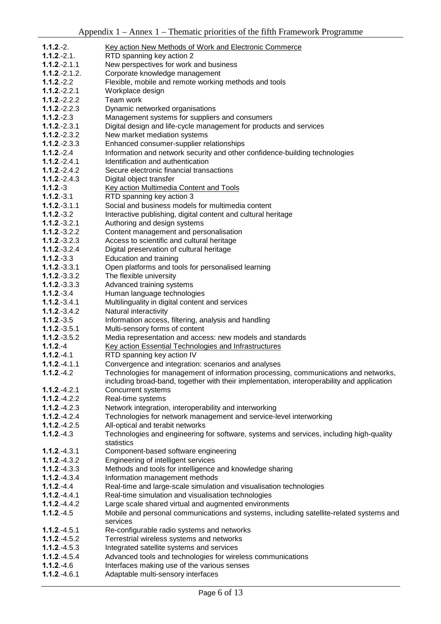| $1.1.2.-2.$     |                                                                                            |
|-----------------|--------------------------------------------------------------------------------------------|
| $1.1.2.-2.1.$   | Key action New Methods of Work and Electronic Commerce                                     |
|                 | RTD spanning key action 2                                                                  |
| $1.1.2 - 2.1.1$ | New perspectives for work and business                                                     |
| $1.1.2.-2.1.2.$ | Corporate knowledge management                                                             |
| $1.1.2 - 2.2$   | Flexible, mobile and remote working methods and tools                                      |
| $1.1.2 - 2.2.1$ | Workplace design                                                                           |
| $1.1.2 - 2.2.2$ | Team work                                                                                  |
| $1.1.2 - 2.2.3$ | Dynamic networked organisations                                                            |
| $1.1.2.-2.3$    | Management systems for suppliers and consumers                                             |
| $1.1.2.-2.3.1$  | Digital design and life-cycle management for products and services                         |
| $1.1.2 - 2.3.2$ | New market mediation systems                                                               |
| $1.1.2 - 2.3.3$ | Enhanced consumer-supplier relationships                                                   |
| $1.1.2 - 2.4$   | Information and network security and other confidence-building technologies                |
| $1.1.2 - 2.4.1$ | Identification and authentication                                                          |
| $1.1.2 - 2.4.2$ | Secure electronic financial transactions                                                   |
| $1.1.2 - 2.4.3$ | Digital object transfer                                                                    |
| $1.1.2.-3$      | Key action Multimedia Content and Tools                                                    |
| $1.1.2 - 3.1$   | RTD spanning key action 3                                                                  |
| $1.1.2.-3.1.1$  | Social and business models for multimedia content                                          |
| $1.1.2 - 3.2$   | Interactive publishing, digital content and cultural heritage                              |
| $1.1.2 - 3.2.1$ | Authoring and design systems                                                               |
| $1.1.2 - 3.2.2$ | Content management and personalisation                                                     |
| $1.1.2 - 3.2.3$ | Access to scientific and cultural heritage                                                 |
| $1.1.2 - 3.2.4$ | Digital preservation of cultural heritage                                                  |
| $1.1.2 - 3.3$   | Education and training                                                                     |
| $1.1.2.-3.3.1$  | Open platforms and tools for personalised learning                                         |
| $1.1.2 - 3.3.2$ | The flexible university                                                                    |
| $1.1.2 - 3.3.3$ | Advanced training systems                                                                  |
| $1.1.2 - 3.4$   | Human language technologies                                                                |
| $1.1.2 - 3.4.1$ | Multilinguality in digital content and services                                            |
| $1.1.2 - 3.4.2$ | Natural interactivity                                                                      |
| $1.1.2 - 3.5$   | Information access, filtering, analysis and handling                                       |
| $1.1.2 - 3.5.1$ | Multi-sensory forms of content                                                             |
| $1.1.2 - 3.5.2$ | Media representation and access: new models and standards                                  |
| $1.1.2 - 4$     | Key action Essential Technologies and Infrastructures                                      |
| $1.1.2 - 4.1$   | RTD spanning key action IV                                                                 |
| $1.1.2 - 4.1.1$ | Convergence and integration: scenarios and analyses                                        |
| $1.1.2 - 4.2$   | Technologies for management of information processing, communications and networks,        |
|                 | including broad-band, together with their implementation, interoperability and application |
| $1.1.2 - 4.2.1$ | <b>Concurrent systems</b>                                                                  |
| $1.1.2 - 4.2.2$ | Real-time systems                                                                          |
| $1.1.2 - 4.2.3$ | Network integration, interoperability and interworking                                     |
| $1.1.2 - 4.2.4$ | Technologies for network management and service-level interworking                         |
| $1.1.2 - 4.2.5$ | All-optical and terabit networks                                                           |
| $1.1.2 - 4.3$   | Technologies and engineering for software, systems and services, including high-quality    |
|                 | statistics                                                                                 |
| $1.1.2 - 4.3.1$ | Component-based software engineering                                                       |
| $1.1.2 - 4.3.2$ | Engineering of intelligent services                                                        |
| $1.1.2 - 4.3.3$ | Methods and tools for intelligence and knowledge sharing                                   |
| $1.1.2 - 4.3.4$ | Information management methods                                                             |
| $1.1.2 - 4.4$   | Real-time and large-scale simulation and visualisation technologies                        |
| $1.1.2 - 4.4.1$ | Real-time simulation and visualisation technologies                                        |
| $1.1.2 - 4.4.2$ | Large scale shared virtual and augmented environments                                      |
| $1.1.2 - 4.5$   | Mobile and personal communications and systems, including satellite-related systems and    |
|                 | services                                                                                   |
| $1.1.2 - 4.5.1$ | Re-configurable radio systems and networks                                                 |
| $1.1.2 - 4.5.2$ | Terrestrial wireless systems and networks                                                  |
| $1.1.2 - 4.5.3$ | Integrated satellite systems and services                                                  |
| $1.1.2 - 4.5.4$ | Advanced tools and technologies for wireless communications                                |
| $1.1.2 - 4.6$   | Interfaces making use of the various senses                                                |
|                 |                                                                                            |

1.1.2.-4.6.1 Adaptable multi-sensory interfaces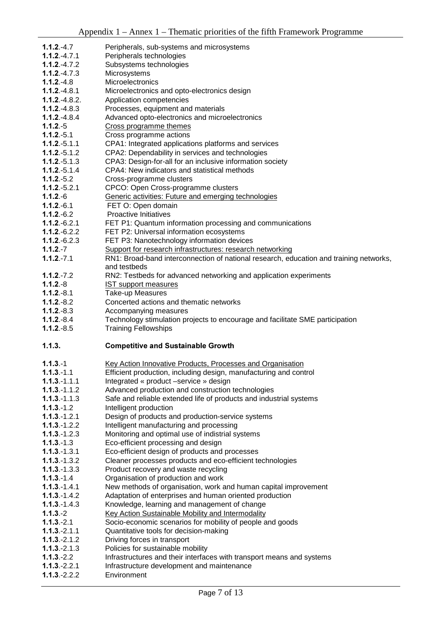| $1.1.2 - 4.7$                      | Peripherals, sub-systems and microsystems                                                                   |
|------------------------------------|-------------------------------------------------------------------------------------------------------------|
| $1.1.2 - 4.7.1$                    | Peripherals technologies                                                                                    |
| $1.1.2 - 4.7.2$                    | Subsystems technologies                                                                                     |
| $1.1.2 - 4.7.3$                    | Microsystems                                                                                                |
| $1.1.2 - 4.8$                      | Microelectronics                                                                                            |
| $1.1.2 - 4.8.1$                    | Microelectronics and opto-electronics design                                                                |
| $1.1.2 - 4.8.2$ .                  | Application competencies                                                                                    |
|                                    |                                                                                                             |
| $1.1.2 - 4.8.3$                    | Processes, equipment and materials                                                                          |
| $1.1.2 - 4.8.4$                    | Advanced opto-electronics and microelectronics                                                              |
| $1.1.2.-5$                         | Cross programme themes                                                                                      |
| $1.1.2.-5.1$                       | Cross programme actions                                                                                     |
| $1.1.2 - 5.1.1$                    | CPA1: Integrated applications platforms and services                                                        |
| $1.1.2 - 5.1.2$                    | CPA2: Dependability in services and technologies                                                            |
| $1.1.2 - 5.1.3$                    | CPA3: Design-for-all for an inclusive information society                                                   |
| $1.1.2 - 5.1.4$                    | CPA4: New indicators and statistical methods                                                                |
| $1.1.2.-5.2$                       | Cross-programme clusters                                                                                    |
| $1.1.2.-5.2.1$                     | CPCO: Open Cross-programme clusters                                                                         |
| $1.1.2.-6$                         | Generic activities: Future and emerging technologies                                                        |
| $1.1.2.-6.1$                       | FET O: Open domain                                                                                          |
| $1.1.2.-6.2$                       | <b>Proactive Initiatives</b>                                                                                |
| $1.1.2 - 6.2.1$                    |                                                                                                             |
|                                    | FET P1: Quantum information processing and communications                                                   |
| $1.1.2 - 6.2.2$                    | FET P2: Universal information ecosystems                                                                    |
| $1.1.2 - 6.2.3$                    | FET P3: Nanotechnology information devices                                                                  |
| $1.1.2 - 7$                        | Support for research infrastructures: research networking                                                   |
| $1.1.2 - 7.1$                      | RN1: Broad-band interconnection of national research, education and training networks,                      |
|                                    | and testbeds                                                                                                |
| $1.1.2 - 7.2$                      | RN2: Testbeds for advanced networking and application experiments                                           |
| $1.1.2.-8$                         | <b>IST support measures</b>                                                                                 |
| $1.1.2.-8.1$                       | Take-up Measures                                                                                            |
| $1.1.2.-8.2$                       | Concerted actions and thematic networks                                                                     |
|                                    |                                                                                                             |
|                                    |                                                                                                             |
| $1.1.2.-8.3$                       | Accompanying measures                                                                                       |
| $1.1.2.-8.4$                       | Technology stimulation projects to encourage and facilitate SME participation                               |
| $1.1.2.-8.5$                       | <b>Training Fellowships</b>                                                                                 |
| 1.1.3.                             | <b>Competitive and Sustainable Growth</b>                                                                   |
|                                    |                                                                                                             |
| $1.1.3 - 1$                        | Key Action Innovative Products, Processes and Organisation                                                  |
| $1.1.3 - 1.1$                      |                                                                                                             |
| $1.1.3 - 1.1.1$                    | Efficient production, including design, manufacturing and control<br>Integrated « product -service » design |
| $1.1.3 - 1.1.2$                    |                                                                                                             |
|                                    | Advanced production and construction technologies                                                           |
| $1.1.3 - 1.1.3$                    | Safe and reliable extended life of products and industrial systems                                          |
| $1.1.3 - 1.2$                      | Intelligent production                                                                                      |
| $1.1.3 - 1.2.1$                    | Design of products and production-service systems                                                           |
| $1.1.3 - 1.2.2$                    | Intelligent manufacturing and processing                                                                    |
| $1.1.3 - 1.2.3$                    | Monitoring and optimal use of indistrial systems                                                            |
| $1.1.3 - 1.3$                      | Eco-efficient processing and design                                                                         |
| $1.1.3 - 1.3.1$                    | Eco-efficient design of products and processes                                                              |
| $1.1.3 - 1.3.2$                    | Cleaner processes products and eco-efficient technologies                                                   |
| $1.1.3 - 1.3.3$                    | Product recovery and waste recycling                                                                        |
| $1.1.3 - 1.4$                      | Organisation of production and work                                                                         |
| $1.1.3 - 1.4.1$                    | New methods of organisation, work and human capital improvement                                             |
| $1.1.3 - 1.4.2$                    | Adaptation of enterprises and human oriented production                                                     |
| $1.1.3 - 1.4.3$                    | Knowledge, learning and management of change                                                                |
| $1.1.3.-2$                         | <b>Key Action Sustainable Mobility and Intermodality</b>                                                    |
| $1.1.3 - 2.1$                      |                                                                                                             |
|                                    | Socio-economic scenarios for mobility of people and goods                                                   |
| $1.1.3 - 2.1.1$                    | Quantitative tools for decision-making                                                                      |
| $1.1.3 - 2.1.2$                    | Driving forces in transport                                                                                 |
| $1.1.3 - 2.1.3$                    | Policies for sustainable mobility                                                                           |
| $1.1.3 - 2.2$                      | Infrastructures and their interfaces with transport means and systems                                       |
| $1.1.3 - 2.2.1$<br>$1.1.3 - 2.2.2$ | Infrastructure development and maintenance<br>Environment                                                   |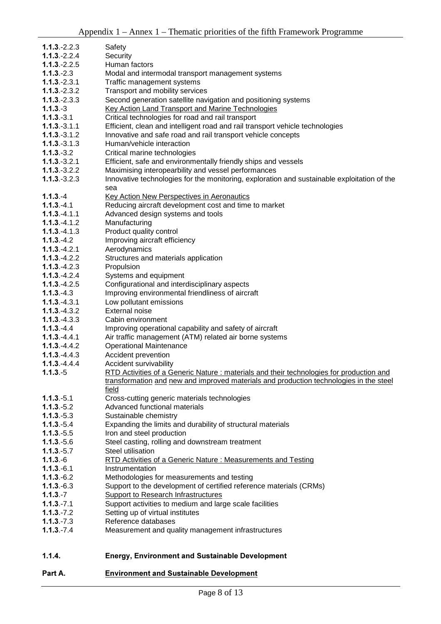| $1.1.3 - 2.2.3$ | Safety                                                                                             |  |  |  |  |
|-----------------|----------------------------------------------------------------------------------------------------|--|--|--|--|
| $1.1.3 - 2.2.4$ | Security                                                                                           |  |  |  |  |
| $1.1.3 - 2.2.5$ | Human factors                                                                                      |  |  |  |  |
| $1.1.3 - 2.3$   | Modal and intermodal transport management systems                                                  |  |  |  |  |
| $1.1.3 - 2.3.1$ | Traffic management systems                                                                         |  |  |  |  |
| $1.1.3 - 2.3.2$ | Transport and mobility services                                                                    |  |  |  |  |
| $1.1.3 - 2.3.3$ | Second generation satellite navigation and positioning systems                                     |  |  |  |  |
| $1.1.3.-3$      | <b>Key Action Land Transport and Marine Technologies</b>                                           |  |  |  |  |
| $1.1.3.-3.1$    | Critical technologies for road and rail transport                                                  |  |  |  |  |
| $1.1.3.-3.1.1$  | Efficient, clean and intelligent road and rail transport vehicle technologies                      |  |  |  |  |
| $1.1.3 - 3.1.2$ | Innovative and safe road and rail transport vehicle concepts                                       |  |  |  |  |
| $1.1.3.-3.1.3$  | Human/vehicle interaction                                                                          |  |  |  |  |
| $1.1.3.-3.2$    | Critical marine technologies                                                                       |  |  |  |  |
| $1.1.3 - 3.2.1$ | Efficient, safe and environmentally friendly ships and vessels                                     |  |  |  |  |
| $1.1.3 - 3.2.2$ | Maximising interopearbility and vessel performances                                                |  |  |  |  |
| $1.1.3 - 3.2.3$ | Innovative technologies for the monitoring, exploration and sustainable exploitation of the<br>sea |  |  |  |  |
| $1.1.3 - 4$     | Key Action New Perspectives in Aeronautics                                                         |  |  |  |  |
| $1.1.3 - 4.1$   | Reducing aircraft development cost and time to market                                              |  |  |  |  |
| $1.1.3 - 4.1.1$ | Advanced design systems and tools                                                                  |  |  |  |  |
| $1.1.3 - 4.1.2$ | Manufacturing                                                                                      |  |  |  |  |
| $1.1.3 - 4.1.3$ | Product quality control                                                                            |  |  |  |  |
| $1.1.3 - 4.2$   | Improving aircraft efficiency                                                                      |  |  |  |  |
| $1.1.3 - 4.2.1$ | Aerodynamics                                                                                       |  |  |  |  |
| $1.1.3 - 4.2.2$ | Structures and materials application                                                               |  |  |  |  |
| $1.1.3 - 4.2.3$ | Propulsion                                                                                         |  |  |  |  |
| $1.1.3 - 4.2.4$ | Systems and equipment                                                                              |  |  |  |  |
| $1.1.3 - 4.2.5$ | Configurational and interdisciplinary aspects                                                      |  |  |  |  |
| $1.1.3 - 4.3$   | Improving environmental friendliness of aircraft                                                   |  |  |  |  |
| $1.1.3 - 4.3.1$ | Low pollutant emissions                                                                            |  |  |  |  |
| $1.1.3 - 4.3.2$ | <b>External noise</b>                                                                              |  |  |  |  |
| $1.1.3 - 4.3.3$ | Cabin environment                                                                                  |  |  |  |  |
| $1.1.3 - 4.4$   | Improving operational capability and safety of aircraft                                            |  |  |  |  |
| $1.1.3 - 4.4.1$ | Air traffic management (ATM) related air borne systems                                             |  |  |  |  |
| $1.1.3 - 4.4.2$ | <b>Operational Maintenance</b>                                                                     |  |  |  |  |
| $1.1.3 - 4.4.3$ | Accident prevention                                                                                |  |  |  |  |
| $1.1.3 - 4.4.4$ | Accident survivability                                                                             |  |  |  |  |
| $1.1.3.-5$      | RTD Activities of a Generic Nature : materials and their technologies for production and           |  |  |  |  |
|                 | transformation and new and improved materials and production technologies in the steel             |  |  |  |  |
| $1.1.3 - 5.1$   | field<br>Cross-cutting generic materials technologies                                              |  |  |  |  |
| $1.1.3.-5.2$    | Advanced functional materials                                                                      |  |  |  |  |
| $1.1.3.-5.3$    | Sustainable chemistry                                                                              |  |  |  |  |
| $1.1.3 - 5.4$   | Expanding the limits and durability of structural materials                                        |  |  |  |  |
| $1.1.3 - 5.5$   | Iron and steel production                                                                          |  |  |  |  |
| $1.1.3.-5.6$    | Steel casting, rolling and downstream treatment                                                    |  |  |  |  |
| $1.1.3 - 5.7$   | Steel utilisation                                                                                  |  |  |  |  |
| $1.1.3.-6$      | RTD Activities of a Generic Nature: Measurements and Testing                                       |  |  |  |  |
| $1.1.3 - 6.1$   | Instrumentation                                                                                    |  |  |  |  |
| $1.1.3 - 6.2$   | Methodologies for measurements and testing                                                         |  |  |  |  |
| $1.1.3.-6.3$    | Support to the development of certified reference materials (CRMs)                                 |  |  |  |  |
| $1.1.3 - 7$     | <b>Support to Research Infrastructures</b>                                                         |  |  |  |  |
| $1.1.3 - 7.1$   | Support activities to medium and large scale facilities                                            |  |  |  |  |
| $1.1.3 - 7.2$   | Setting up of virtual institutes                                                                   |  |  |  |  |
| $1.1.3 - 7.3$   | Reference databases                                                                                |  |  |  |  |
| $1.1.3 - 7.4$   | Measurement and quality management infrastructures                                                 |  |  |  |  |
|                 |                                                                                                    |  |  |  |  |
|                 |                                                                                                    |  |  |  |  |
| 1.1.4.          | <b>Energy, Environment and Sustainable Development</b>                                             |  |  |  |  |

## Part A. **Environment and Sustainable Development**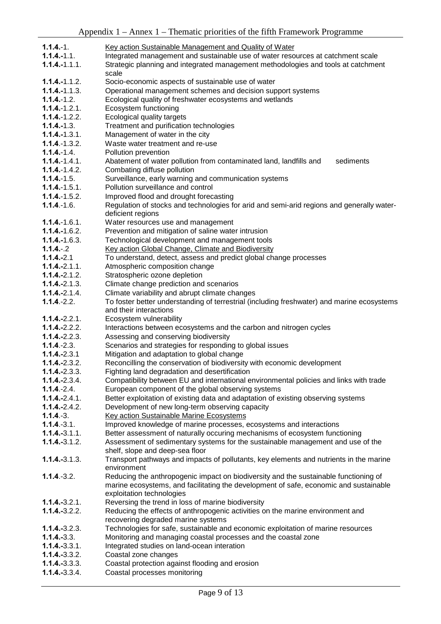| $1.1.4 - 1.$                       | Key action Sustainable Management and Quality of Water                                              |  |  |  |
|------------------------------------|-----------------------------------------------------------------------------------------------------|--|--|--|
| $1.1.4 - 1.1.$                     | Integrated management and sustainable use of water resources at catchment scale                     |  |  |  |
| $1.1.4 - 1.1.1.$                   | Strategic planning and integrated management methodologies and tools at catchment                   |  |  |  |
|                                    | scale                                                                                               |  |  |  |
| $1.1.4 - 1.1.2$ .                  | Socio-economic aspects of sustainable use of water                                                  |  |  |  |
| $1.1.4 - 1.1.3$ .                  | Operational management schemes and decision support systems                                         |  |  |  |
| $1.1.4 - 1.2.$                     | Ecological quality of freshwater ecosystems and wetlands                                            |  |  |  |
| $1.1.4 - 1.2.1.$                   | Ecosystem functioning                                                                               |  |  |  |
| $1.1.4 - 1.2.2$ .                  | Ecological quality targets                                                                          |  |  |  |
| $1.1.4 - 1.3.$                     | Treatment and purification technologies                                                             |  |  |  |
| $1.1.4 - 1.3.1.$                   | Management of water in the city                                                                     |  |  |  |
| $1.1.4 - 1.3.2.$                   | Waste water treatment and re-use                                                                    |  |  |  |
| $1.1.4 - 1.4.$                     | Pollution prevention                                                                                |  |  |  |
| $1.1.4 - 1.4.1.$                   | Abatement of water pollution from contaminated land, landfills and<br>sediments                     |  |  |  |
| $1.1.4 - 1.4.2$ .                  | Combating diffuse pollution                                                                         |  |  |  |
| $1.1.4 - 1.5.$                     | Surveillance, early warning and communication systems                                               |  |  |  |
| $1.1.4 - 1.5.1.$                   | Pollution surveillance and control                                                                  |  |  |  |
| $1.1.4 - 1.5.2$ .                  | Improved flood and drought forecasting                                                              |  |  |  |
| $1.1.4 - 1.6.$                     | Regulation of stocks and technologies for arid and semi-arid regions and generally water-           |  |  |  |
|                                    | deficient regions                                                                                   |  |  |  |
| $1.1.4 - 1.6.1.$                   | Water resources use and management                                                                  |  |  |  |
| $1.1.4 - 1.6.2$ .                  | Prevention and mitigation of saline water intrusion                                                 |  |  |  |
| $1.1.4 - 1.6.3.$                   | Technological development and management tools                                                      |  |  |  |
| $1.1.4 - 2$                        | Key action Global Change, Climate and Biodiversity                                                  |  |  |  |
| $1.1.4 - 2.1$<br>$1.1.4 - 2.1.1$ . | To understand, detect, assess and predict global change processes<br>Atmospheric composition change |  |  |  |
| $1.1.4 - 2.1.2$ .                  | Stratospheric ozone depletion                                                                       |  |  |  |
| $1.1.4 - 2.1.3.$                   | Climate change prediction and scenarios                                                             |  |  |  |
| $1.1.4 - 2.1.4$ .                  | Climate variability and abrupt climate changes                                                      |  |  |  |
| $1.1.4 - 2.2.$                     | To foster better understanding of terrestrial (including freshwater) and marine ecosystems          |  |  |  |
|                                    | and their interactions                                                                              |  |  |  |
| $1.1.4 - 2.2.1.$                   | Ecosystem vulnerability                                                                             |  |  |  |
| $1.1.4 - 2.2.2.$                   | Interactions between ecosystems and the carbon and nitrogen cycles                                  |  |  |  |
| $1.1.4 - 2.2.3.$                   | Assessing and conserving biodiversity                                                               |  |  |  |
| $1.1.4 - 2.3.$                     | Scenarios and strategies for responding to global issues                                            |  |  |  |
| $1.1.4 - 2.3.1$                    | Mitigation and adaptation to global change                                                          |  |  |  |
| $1.1.4 - 2.3.2.$                   | Reconcilling the conservation of biodiversity with economic development                             |  |  |  |
| $1.1.4 - 2.3.3.$                   | Fighting land degradation and desertification                                                       |  |  |  |
| $1.1.4 - 2.3.4.$                   | Compatibility between EU and international environmental policies and links with trade              |  |  |  |
| $1.1.4 - 2.4.$                     | European component of the global observing systems                                                  |  |  |  |
| $1.1.4 - 2.4.1.$                   | Better exploitation of existing data and adaptation of existing observing systems                   |  |  |  |
| $1.1.4 - 2.4.2.$                   | Development of new long-term observing capacity                                                     |  |  |  |
| $1.1.4.-3.$                        | Key action Sustainable Marine Ecosystems                                                            |  |  |  |
| $1.1.4.-3.1.$                      | Improved knowledge of marine processes, ecosystems and interactions                                 |  |  |  |
| $1.1.4 - 3.1.1.$                   | Better assessment of naturally occuring mechanisms of ecosystem functioning                         |  |  |  |
| $1.1.4.-3.1.2.$                    | Assessment of sedimentary systems for the sustainable management and use of the                     |  |  |  |
|                                    | shelf, slope and deep-sea floor                                                                     |  |  |  |
| $1.1.4 - 3.1.3$ .                  | Transport pathways and impacts of pollutants, key elements and nutrients in the marine              |  |  |  |
|                                    | environment                                                                                         |  |  |  |
| $1.1.4.-3.2.$                      | Reducing the anthropogenic impact on biodiversity and the sustainable functioning of                |  |  |  |
|                                    | marine ecosystems, and facilitating the development of safe, economic and sustainable               |  |  |  |
| $1.1.4 - 3.2.1.$                   | exploitation technologies<br>Reversing the trend in loss of marine biodiversity                     |  |  |  |
| $1.1.4 - 3.2.2.$                   | Reducing the effects of anthropogenic activities on the marine environment and                      |  |  |  |
|                                    | recovering degraded marine systems                                                                  |  |  |  |
| $1.1.4 - 3.2.3.$                   | Technologies for safe, sustainable and economic exploitation of marine resources                    |  |  |  |
| $1.1.4 - 3.3.$                     | Monitoring and managing coastal processes and the coastal zone                                      |  |  |  |
| $1.1.4 - 3.3.1.$                   | Integrated studies on land-ocean interation                                                         |  |  |  |
| $1.1.4 - 3.3.2.$                   | Coastal zone changes                                                                                |  |  |  |
| $1.1.4 - 3.3.3.$                   | Coastal protection against flooding and erosion                                                     |  |  |  |
|                                    |                                                                                                     |  |  |  |

1.1.4.-3.3.4. Coastal processes monitoring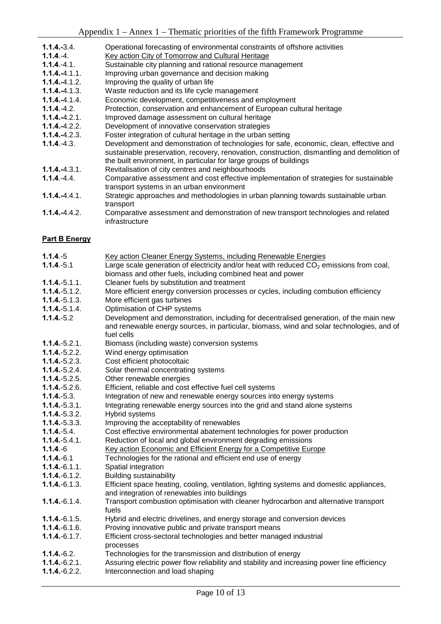- **1.1.4.-3.4.** Operational forecasting of environmental constraints of offshore activities
- 1.1.4. Key action City of Tomorrow and Cultural Heritage
- 1.1.4.-4.1. Sustainable city planning and rational resource management
- **1.1.4.-4.1.1.** Improving urban governance and decision making
- **1.1.4.-4.1.2.** Improving the quality of urban life<br>**1.1.4.-**4.1.3. Waste reduction and its life cycle
- Waste reduction and its life cycle management
- 4.1.4. Economic development, competitiveness and employment
- **1.1.4.**-4.2. Protection, conservation and enhancement of European cultural heritage
- 1.1.4.-4.2.1. Improved damage assessment on cultural heritage
- 4.2.2. Development of innovative conservation strategies
- 4.2.3. Foster integration of cultural heritage in the urban setting
- 1.1.4.-4.3. Development and demonstration of technologies for safe, economic, clean, effective and sustainable preservation, recovery, renovation, construction, dismantling and demolition of the built environment, in particular for large groups of buildings
- 4.3.1. Revitalisation of city centres and neighbourhoods
- **1.1.4.**-4.4. Comparative assessment and cost effective implementation of strategies for sustainable transport systems in an urban environment
- 4.4.1. Strategic approaches and methodologies in urban planning towards sustainable urban transport
- 4.4.2. Comparative assessment and demonstration of new transport technologies and related infrastructure

#### **Part B Energy**

| $1.1.4.-5$                         | Key action Cleaner Energy Systems, including Renewable Energies                                                                                                                     |  |  |  |
|------------------------------------|-------------------------------------------------------------------------------------------------------------------------------------------------------------------------------------|--|--|--|
| $1.1.4.-5.1$                       | Large scale generation of electricity and/or heat with reduced CO <sub>2</sub> emissions from coal,                                                                                 |  |  |  |
|                                    | biomass and other fuels, including combined heat and power                                                                                                                          |  |  |  |
| $1.1.4.-5.1.1.$                    | Cleaner fuels by substitution and treatment                                                                                                                                         |  |  |  |
| $1.1.4.-5.1.2.$                    | More efficient energy conversion processes or cycles, including combution efficiency                                                                                                |  |  |  |
| $1.1.4 - 5.1.3$ .                  | More efficient gas turbines                                                                                                                                                         |  |  |  |
| $1.1.4 - 5.1.4$ .                  | Optimisation of CHP systems                                                                                                                                                         |  |  |  |
| $1.1.4.-5.2$                       | Development and demonstration, including for decentralised generation, of the main new<br>and renewable energy sources, in particular, biomass, wind and solar technologies, and of |  |  |  |
|                                    | fuel cells                                                                                                                                                                          |  |  |  |
| $1.1.4.-5.2.1.$                    | Biomass (including waste) conversion systems                                                                                                                                        |  |  |  |
| $1.1.4.-5.2.2.$                    | Wind energy optimisation                                                                                                                                                            |  |  |  |
| $1.1.4.-5.2.3.$<br>$1.1.4.-5.2.4.$ | Cost efficient photocoltaic                                                                                                                                                         |  |  |  |
| $1.1.4.-5.2.5.$                    | Solar thermal concentrating systems<br>Other renewable energies                                                                                                                     |  |  |  |
| $1.1.4.-5.2.6.$                    |                                                                                                                                                                                     |  |  |  |
|                                    | Efficient, reliable and cost effective fuel cell systems                                                                                                                            |  |  |  |
| $1.1.4 - 5.3.$<br>$1.1.4.-5.3.1.$  | Integration of new and renewable energy sources into energy systems<br>Integrating renewable energy sources into the grid and stand alone systems                                   |  |  |  |
| $1.1.4.-5.3.2.$                    |                                                                                                                                                                                     |  |  |  |
| $1.1.4.-5.3.3.$                    | Hybrid systems                                                                                                                                                                      |  |  |  |
| $1.1.4.-5.4.$                      | Improving the acceptability of renewables                                                                                                                                           |  |  |  |
| $1.1.4.-5.4.1.$                    | Cost effective environmental abatement technologies for power production                                                                                                            |  |  |  |
|                                    | Reduction of local and global environment degrading emissions                                                                                                                       |  |  |  |
| $1.1.4.-6$                         | Key action Economic and Efficient Energy for a Competitive Europe                                                                                                                   |  |  |  |
| $1.1.4 - 6.1$                      | Technologies for the rational and efficient end use of energy                                                                                                                       |  |  |  |
| $1.1.4 - 6.1.1.$                   | Spatial integration                                                                                                                                                                 |  |  |  |
| $1.1.4 - 6.1.2.$                   | <b>Building sustainability</b>                                                                                                                                                      |  |  |  |
| $1.1.4 - 6.1.3.$                   | Efficient space heating, cooling, ventilation, lighting systems and domestic appliances,<br>and integration of renewables into buildings                                            |  |  |  |
| $1.1.4 - 6.1.4.$                   | Transport combustion optimisation with cleaner hydrocarbon and alternative transport<br>fuels                                                                                       |  |  |  |
| $1.1.4 - 6.1.5$ .                  | Hybrid and electric drivelines, and energy storage and conversion devices                                                                                                           |  |  |  |
| $1.1.4 - 6.1.6$ .                  | Proving innovative public and private transport means                                                                                                                               |  |  |  |
| $1.1.4 - 6.1.7$ .                  | Efficient cross-sectoral technologies and better managed industrial<br>processes                                                                                                    |  |  |  |
| $1.1.4 - 6.2.$                     | Technologies for the transmission and distribution of energy                                                                                                                        |  |  |  |
| $1.1.4 - 6.2.1.$                   | Assuring electric power flow reliability and stability and increasing power line efficiency                                                                                         |  |  |  |
| $1.1.4.-6.2.2.$                    | Interconnection and load shaping                                                                                                                                                    |  |  |  |
|                                    |                                                                                                                                                                                     |  |  |  |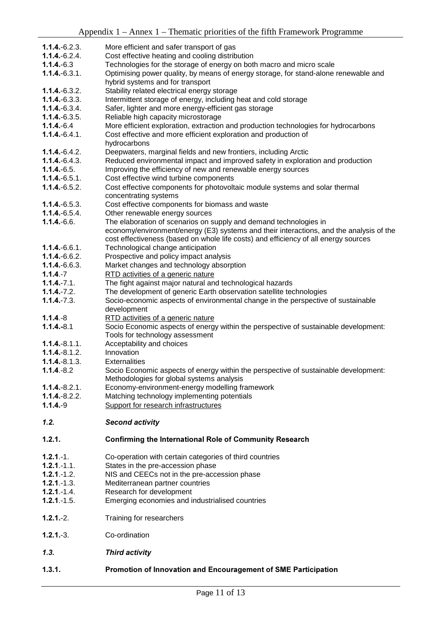|                   | $\mu$ reported a $\mu$ million $\mu$ is a momentum of the main Framework Frogramme                                                                                             |  |  |  |  |
|-------------------|--------------------------------------------------------------------------------------------------------------------------------------------------------------------------------|--|--|--|--|
| $1.1.4 - 6.2.3$   | More efficient and safer transport of gas                                                                                                                                      |  |  |  |  |
| $1.1.4 - 6.2.4$ . | Cost effective heating and cooling distribution                                                                                                                                |  |  |  |  |
| $1.1.4 - 6.3$     | Technologies for the storage of energy on both macro and micro scale                                                                                                           |  |  |  |  |
| $1.1.4 - 6.3.1.$  | Optimising power quality, by means of energy storage, for stand-alone renewable and                                                                                            |  |  |  |  |
|                   | hybrid systems and for transport                                                                                                                                               |  |  |  |  |
| $1.1.4 - 6.3.2.$  | Stability related electrical energy storage                                                                                                                                    |  |  |  |  |
| $1.1.4 - 6.3.3.$  | Intermittent storage of energy, including heat and cold storage                                                                                                                |  |  |  |  |
| $1.1.4 - 6.3.4.$  | Safer, lighter and more energy-efficient gas storage                                                                                                                           |  |  |  |  |
| $1.1.4 - 6.3.5.$  | Reliable high capacity microstorage                                                                                                                                            |  |  |  |  |
| $1.1.4 - 6.4$     | More efficient exploration, extraction and production technologies for hydrocarbons                                                                                            |  |  |  |  |
| $1.1.4 - 6.4.1$ . | Cost effective and more efficient exploration and production of<br>hydrocarbons                                                                                                |  |  |  |  |
| $1.1.4 - 6.4.2$ . | Deepwaters, marginal fields and new frontiers, including Arctic                                                                                                                |  |  |  |  |
| $1.1.4 - 6.4.3.$  | Reduced environmental impact and improved safety in exploration and production                                                                                                 |  |  |  |  |
| $1.1.4.-6.5.$     | Improving the efficiency of new and renewable energy sources                                                                                                                   |  |  |  |  |
| $1.1.4 - 6.5.1.$  | Cost effective wind turbine components                                                                                                                                         |  |  |  |  |
| $1.1.4 - 6.5.2.$  | Cost effective components for photovoltaic module systems and solar thermal<br>concentrating systems                                                                           |  |  |  |  |
| $1.1.4 - 6.5.3.$  | Cost effective components for biomass and waste                                                                                                                                |  |  |  |  |
| $1.1.4 - 6.5.4$ . | Other renewable energy sources                                                                                                                                                 |  |  |  |  |
| $1.1.4.-6.6.$     | The elaboration of scenarios on supply and demand technologies in                                                                                                              |  |  |  |  |
|                   | economy/environment/energy (E3) systems and their interactions, and the analysis of the<br>cost effectiveness (based on whole life costs) and efficiency of all energy sources |  |  |  |  |
| $1.1.4 - 6.6.1$ . | Technological change anticipation                                                                                                                                              |  |  |  |  |
| $1.1.4 - 6.6.2.$  | Prospective and policy impact analysis                                                                                                                                         |  |  |  |  |
| $1.1.4 - 6.6.3.$  | Market changes and technology absorption                                                                                                                                       |  |  |  |  |
| $1.1.4 - 7$       | RTD activities of a generic nature                                                                                                                                             |  |  |  |  |
| $1.1.4 - 7.1.$    | The fight against major natural and technological hazards                                                                                                                      |  |  |  |  |
| $1.1.4 - 7.2.$    | The development of generic Earth observation satellite technologies                                                                                                            |  |  |  |  |
| $1.1.4.-7.3.$     | Socio-economic aspects of environmental change in the perspective of sustainable                                                                                               |  |  |  |  |
|                   | development                                                                                                                                                                    |  |  |  |  |
| $1.1.4.-8$        | RTD activities of a generic nature                                                                                                                                             |  |  |  |  |
| $1.1.4 - 8.1$     | Socio Economic aspects of energy within the perspective of sustainable development:                                                                                            |  |  |  |  |
| $1.1.4 - 8.1.1.$  | Tools for technology assessment                                                                                                                                                |  |  |  |  |
| $1.1.4 - 8.1.2$ . | Acceptability and choices<br>Innovation                                                                                                                                        |  |  |  |  |
| $1.1.4 - 8.1.3.$  | <b>Externalities</b>                                                                                                                                                           |  |  |  |  |
| $1.1.4.-8.2$      |                                                                                                                                                                                |  |  |  |  |
|                   | Socio Economic aspects of energy within the perspective of sustainable development:<br>Methodologies for global systems analysis                                               |  |  |  |  |
| $1.1.4 - 8.2.1.$  | Economy-environment-energy modelling framework                                                                                                                                 |  |  |  |  |
| $1.1.4 - 8.2.2.$  | Matching technology implementing potentials                                                                                                                                    |  |  |  |  |
| $1.1.4.-9$        | Support for research infrastructures                                                                                                                                           |  |  |  |  |
|                   |                                                                                                                                                                                |  |  |  |  |
| 1.2.              | <b>Second activity</b>                                                                                                                                                         |  |  |  |  |
| 1.2.1.            | <b>Confirming the International Role of Community Research</b>                                                                                                                 |  |  |  |  |
| $1.2.1 - 1.$      | Co-operation with certain categories of third countries                                                                                                                        |  |  |  |  |
| $1.2.1 - 1.1.$    | States in the pre-accession phase                                                                                                                                              |  |  |  |  |
| $1.2.1 - 1.2.$    | NIS and CEECs not in the pre-accession phase                                                                                                                                   |  |  |  |  |
| $1.2.1 - 1.3.$    | Mediterranean partner countries                                                                                                                                                |  |  |  |  |
| $1.2.1 - 1.4.$    | Research for development                                                                                                                                                       |  |  |  |  |
| $1.2.1 - 1.5.$    | Emerging economies and industrialised countries                                                                                                                                |  |  |  |  |
| $1.2.1 - 2.$      | Training for researchers                                                                                                                                                       |  |  |  |  |
| $1.2.1 - 3.$      | Co-ordination                                                                                                                                                                  |  |  |  |  |
| 1.3.              | <b>Third activity</b>                                                                                                                                                          |  |  |  |  |
|                   |                                                                                                                                                                                |  |  |  |  |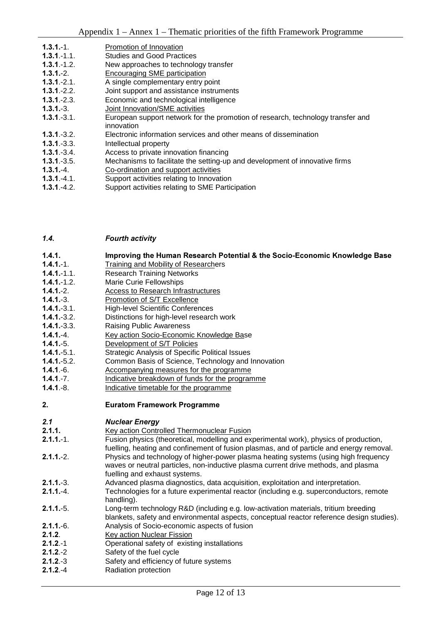| $1.3.1 - 1.$   | Promotion of Innovation                                                                                                                                                                                                                                          |
|----------------|------------------------------------------------------------------------------------------------------------------------------------------------------------------------------------------------------------------------------------------------------------------|
| $1.3.1 - 1.1.$ | <b>Studies and Good Practices</b>                                                                                                                                                                                                                                |
| $1.3.1 - 1.2.$ | New approaches to technology transfer                                                                                                                                                                                                                            |
| $1.3.1 - 2.$   | Encouraging SME participation                                                                                                                                                                                                                                    |
| $1.3.1 - 2.1.$ | A single complementary entry point                                                                                                                                                                                                                               |
| $1.3.1 - 2.2.$ | Joint support and assistance instruments                                                                                                                                                                                                                         |
| $1.3.1 - 2.3.$ | Economic and technological intelligence                                                                                                                                                                                                                          |
| $1.3.1 - 3.$   | Joint Innovation/SME activities                                                                                                                                                                                                                                  |
| $1.3.1 - 3.1.$ | European support network for the promotion of research, technology transfer and<br>innovation                                                                                                                                                                    |
| $1.3.1 - 3.2.$ | Electronic information services and other means of dissemination                                                                                                                                                                                                 |
| $1.3.1 - 3.3.$ | Intellectual property                                                                                                                                                                                                                                            |
| $1.3.1 - 3.4.$ | Access to private innovation financing                                                                                                                                                                                                                           |
| $1.3.1 - 3.5.$ | Mechanisms to facilitate the setting-up and development of innovative firms                                                                                                                                                                                      |
| $1.3.1 - 4.$   | Co-ordination and support activities                                                                                                                                                                                                                             |
| $1.3.1 - 4.1.$ | Support activities relating to Innovation                                                                                                                                                                                                                        |
| . <i>.</i> .   | $\mathsf{\Omega}$ , and a set of the second set of the $\mathsf{\Omega}$ of $\mathsf{\Omega}$ . $\mathsf{\Omega}$ is the set of the set of the set of the set of the set of the set of the set of the set of the set of the set of the set of the set of the set |

**1.3.1.-4.2.** Support activities relating to SME Participation

| 1.4. | <b>Fourth activity</b> |
|------|------------------------|
|      |                        |

#### 1.4.1. Improving the Human Research Potential & the Socio-Economic Knowledge Base

- 1.4.1.-1. Training and Mobility of Researchers
- 1.4.1.-1.1. Research Training Networks
- -1.2. Marie Curie Fellowships
- 1.4.1.-2. Access to Research Infrastructures
- 1.4.1.-3. Promotion of S/T Excellence
- 1.4.1.-3.1. High-level Scientific Conferences
- 1.4.1.-3.2. Distinctions for high-level research work
- 1.4.1.-3.3. Raising Public Awareness
- 1.4.1.-4. Key action Socio-Economic Knowledge Base
- 1.4.1.-5. Development of S/T Policies
- -5.1. Strategic Analysis of Specific Political Issues
- 1.4.1.-5.2. Common Basis of Science, Technology and Innovation
- **1.4.1.**-6. Accompanying measures for the programme
- **1.4.1**.-7. Indicative breakdown of funds for the programme<br>**1.4.1** -8 Indicative timetable for the programme
- Indicative timetable for the programme
- 2. Euratom Framework Programme

#### **2.1** *Nuclear Energy*

- 2.1.1. **Key action Controlled Thermonuclear Fusion**
- 2.1.1.-1. Fusion physics (theoretical, modelling and experimental work), physics of production, fuelling, heating and confinement of fusion plasmas, and of particle and energy removal.
- 2.1.1.-2. Physics and technology of higher-power plasma heating systems (using high frequency waves or neutral particles, non-inductive plasma current drive methods, and plasma fuelling and exhaust systems.
- 2.1.1.-3. Advanced plasma diagnostics, data acquisition, exploitation and interpretation.
- 2.1.1.-4. Technologies for a future experimental reactor (including e.g. superconductors, remote handling).
- 2.1.1.-5. Long-term technology R&D (including e.g. low-activation materials, tritium breeding blankets, safety and environmental aspects, conceptual reactor reference design studies).
- 2.1.1.-6. Analysis of Socio-economic aspects of fusion
- 2.1.2. Key action Nuclear Fission
- 2.1.2.-1 **Operational safety of existing installations**
- 2.1.2.-2 Safety of the fuel cycle<br>2.1.2.-3 Safety and efficiency of
- Safety and efficiency of future systems
- 2.1.2.-4 Radiation protection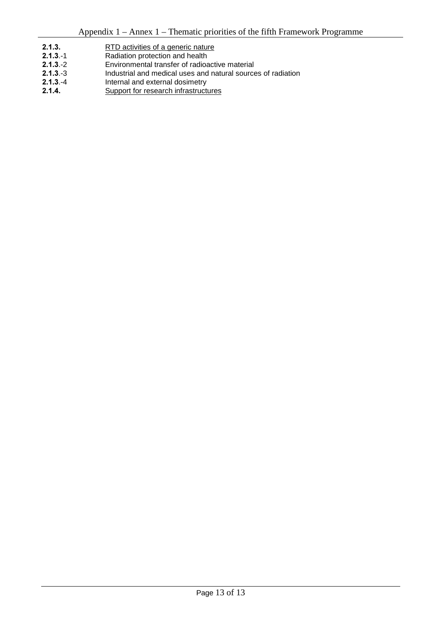- 2.1.3. RTD activities of a generic nature<br>
2.1.3.-1 Radiation protection and health
- Radiation protection and health
- 2.1.3.-2 Environmental transfer of radioactive material
- 2.1.3.-3 Industrial and medical uses and natural sources of radiation<br>2.1.3.-4 Internal and external dosimetry
- 2.1.3.-4 Internal and external dosimetry<br>2.1.4. Support for research infrastruction
- Support for research infrastructures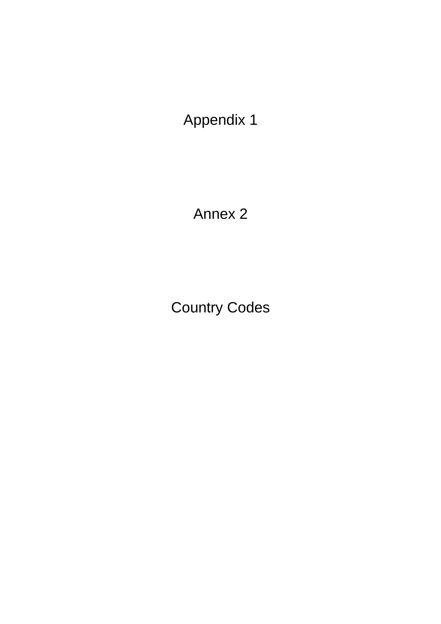Annex 2

Country Codes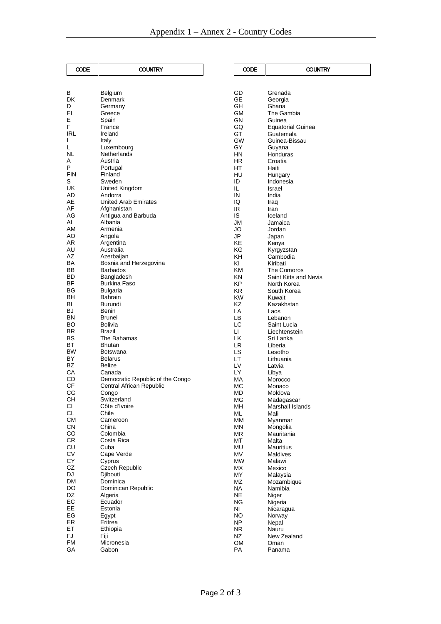| CODE       | <b>COUNTRY</b>                     | CODE                   |                  |
|------------|------------------------------------|------------------------|------------------|
|            |                                    |                        |                  |
| В          | Belgium                            | GD                     | Grena            |
| DK         | Denmark                            | GЕ                     | Georg            |
| D          | Germany                            | GH                     | Ghana            |
| EL         | Greece                             | GM                     | The G            |
| E          | Spain                              | GN                     | Guinea           |
| F<br>IRL   | France<br>Ireland                  | GQ<br>GT               | Equato           |
| L          | Italy                              | <b>GW</b>              | Guater<br>Guinea |
| L          | Luxembourg                         | GY                     | Guyan            |
| NL         | Netherlands                        | HN                     | Hondu            |
| А          | Austria                            | HR                     | Croatia          |
| P          | Portugal                           | ΗT                     | Haiti            |
| <b>FIN</b> | Finland                            | HU                     | Hunga            |
| S          | Sweden                             | ID                     | Indone           |
| UK         | United Kingdom                     | IL                     | Israel           |
| AD         | Andorra                            | IN                     | India            |
| AE         | United Arab Emirates               | IQ                     | Iraq             |
| AF<br>AG   | Afghanistan<br>Antigua and Barbuda | IR.                    | Iran             |
| AL         | Albania                            | IS<br>JM               | Icelan<br>Jamai  |
| AM         | Armenia                            | JO                     | Jordar           |
| AO         | Angola                             | JP                     | Japan            |
| AR         | Argentina                          | KE                     | Kenya            |
| AU         | Australia                          | ΚG                     | Kyrgyz           |
| AZ         | Azerbaijan                         | KΗ                     | <b>Camb</b>      |
| BA         | Bosnia and Herzegovina             | ΚI                     | Kiribat          |
| ВB         | <b>Barbados</b>                    | KM                     | The C            |
| BD         | Bangladesh                         | ΚN                     | Saint I          |
| ΒF         | Burkina Faso                       | КP                     | North            |
| BG         | Bulgaria                           | KR.                    | South            |
| BН<br>BI   | <b>Bahrain</b><br>Burundi          | <b>KW</b><br>ΚZ        | Kuwai<br>Kazak   |
| BJ         | Benin                              | LA                     | Laos             |
| ΒN         | Brunei                             | LВ                     | Leban            |
| BO         | Bolivia                            | LC                     | Saint I          |
| BR         | Brazil                             | Ш                      | Liecht           |
| ВS         | The Bahamas                        | LK                     | Sri Lar          |
| ВT         | Bhutan                             | LR                     | Liberia          |
| <b>BW</b>  | Botswana                           | LS                     | Lesoth           |
| BY         | <b>Belarus</b>                     | LT                     | Lithua           |
| BZ         | Belize                             | LV                     | Latvia           |
| СA         | Canada                             | LY                     | Libya            |
| CD<br>СF   | Democratic Republic of the Congo   | МA<br>МC               | Moroc            |
| СG         | Central African Republic<br>Congo  | <b>MD</b>              | Monac            |
| CH         | Switzerland                        | МG                     | Moldo<br>Madag   |
| СI         | Côte d'Ivoire                      | MН                     | Marsh            |
| <b>CL</b>  | Chile                              | ML                     | Mali             |
| СM         | Cameroon                           | MM                     | Myann            |
| <b>CN</b>  | China                              | ΜN                     | Mongo            |
| CO         | Colombia                           | ΜR                     | Maurit           |
| CR.        | Costa Rica                         | МT                     | Malta            |
| CU         | Cuba                               | MU                     | Maurit           |
| СV         | Cape Verde                         | MV                     | Maldiv           |
| CY<br>CZ   | Cyprus                             | <b>MW</b><br><b>MX</b> | Malaw            |
| DJ         | Czech Republic<br>Djibouti         | ΜY                     | Mexico<br>Malays |
| <b>DM</b>  | Dominica                           | ΜZ                     | Mozar            |
| DO         | Dominican Republic                 | NA.                    | Namib            |
| DZ         | Algeria                            | NE                     | Niger            |
| EC         | Ecuador                            | ΝG                     | Nigeria          |
| EE         | Estonia                            | NI                     | Nicara           |
| ЕG         | Egypt                              | <b>NO</b>              | Norwa            |
| ER         | Eritrea                            | <b>NP</b>              | Nepal            |
| ET         | Ethiopia                           | NR.                    | Nauru            |
| FJ         | Fiji                               | NZ                     | New Z            |
| <b>FM</b>  | Micronesia                         | OM                     | Oman             |
| GA         | Gabon                              | PA                     | Panan            |

| CODE            | COUNTRY                    |
|-----------------|----------------------------|
|                 |                            |
| GD              | Grenada                    |
| GЕ              | Georgia                    |
| GН              | Ghana                      |
| GМ<br>GΝ        | The Gambia<br>Guinea       |
| GQ              | Equatorial Guinea          |
| GT              | Guatemala                  |
| GW<br>GY        | Guinea-Bissau<br>Guyana    |
| ΗN              | Honduras                   |
| ΗR              | Croatia                    |
| HТ<br>HU        | Haiti<br>Hungary           |
| ID              | Indonesia                  |
| IL              | Israel                     |
| IN<br>IQ        | India<br>Iraq              |
| ΙR              | Iran                       |
| IS              | Iceland                    |
| JM<br>JO        | Jamaica<br>Jordan          |
| JP              | Japan                      |
| ΚE              | Kenya                      |
| ΚG              | Kyrgyzstan                 |
| KΗ<br>KI        | Cambodia<br>Kiribati       |
| ΚM              | The Comoros                |
| KΝ              | Saint Kitts and Nevis      |
| ΚP<br>ΚR        | North Korea<br>South Korea |
| ΚW              | Kuwait                     |
| ΚZ              | Kazakhstan                 |
| LA<br>LB        | Laos<br>Lebanon            |
| LC              | Saint Lucia                |
| LI<br>LK        | Liechtenstein              |
| LR              | Sri Lanka<br>Liberia       |
| LS              | Lesotho                    |
| LT              | Lithuania                  |
| LV<br>LY        | Latvia<br>Libya            |
| МA              | Morocco                    |
| МC              | Monaco<br>Moldova          |
| MD<br>MG        | Madagascar                 |
| ΜН              | Marshall Islands           |
| ML<br><b>MM</b> | Mali<br>Myanmar            |
| ΜN              | Mongolia                   |
| МR              | Mauritania                 |
| МT<br>MU        | Malta<br>Mauritius         |
| MV              | Maldives                   |
| МW              | Malawi                     |
| МX<br>MY        | Mexico<br>Malaysia         |
| ΜZ              | Mozambique                 |
| ΝA              | Namibia                    |
| NΕ<br>ΝG        | Niger<br>Nigeria           |
| NI              | Nicaragua                  |
| NΟ              | Norway                     |
| NΡ              | Nepal                      |
| ΝR<br>ΝZ        | Nauru<br>New Zealand       |
| OМ              | Oman                       |
| PA              | Panama                     |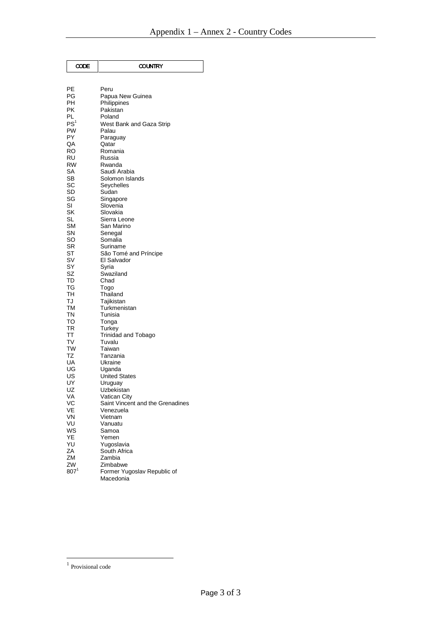| CODE     | <b>COUNTRY</b>                   |
|----------|----------------------------------|
|          |                                  |
| РE       | Peru                             |
| PG       | Papua New Guinea                 |
| РH       | Philippines                      |
| РK       | Pakistan                         |
| PL       | Poland                           |
| PS'      | West Bank and Gaza Strip         |
| PW       | Palau                            |
| PY       | Paraguay                         |
| QA       | Qatar                            |
| RO       | Romania                          |
| RU       | Russia                           |
| RW       | Rwanda                           |
| SA       | Saudi Arabia                     |
| SB<br>SC | Solomon Islands<br>Seychelles    |
| SD       | Sudan                            |
| SG       | Singapore                        |
| SI       | Slovenia                         |
| SK       | Slovakia                         |
| SL       | Sierra Leone                     |
| SΜ       | San Marino                       |
| SN       | Senegal                          |
| SO       | Somalia                          |
| SR       | Suriname                         |
| ST       | São Tomé and Príncipe            |
| S٧<br>SY | El Salvador                      |
| SZ       | Syria<br>Swaziland               |
| TD       | Chad                             |
| ТG       | Togo                             |
| TН       | Thailand                         |
| TJ       | Tajikistan                       |
| ТM       | Turkmenistan                     |
| ΤN       | Tunisia                          |
| то       | Tonga                            |
| TR       | Turkey                           |
| ΤT       | Trinidad and Tobago              |
| T٧<br>TW | Tuvalu                           |
| TZ       | Taiwan<br>Tanzania               |
| UA       | Ukraine                          |
| UG       | Uganda                           |
| US       | <b>United States</b>             |
| UY       | Uruguay                          |
| UZ       | Uzbekistan                       |
| VА       | Vatıcan City                     |
| VC       | Saint Vincent and the Grenadines |
| VE       | Venezuela                        |
| VN       | Vietnam                          |
| VU<br>WS | Vanuatu                          |
| YE       | Samoa<br>Yemen                   |
| YU       | Yugoslavia                       |
| ΖA       | South Africa                     |
| ZM       | Zambia                           |
| ZW       | Zimbabwe                         |
| $807^1$  | Former Yugoslav Republic of      |
|          | Macedonia                        |

<u>.</u>

<sup>&</sup>lt;sup>1</sup> Provisional code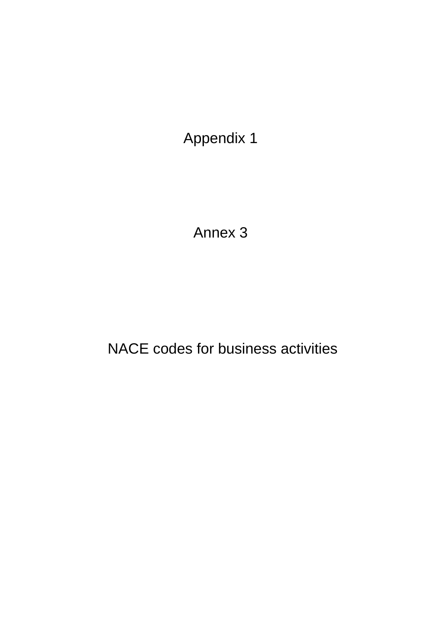Annex 3

NACE codes for business activities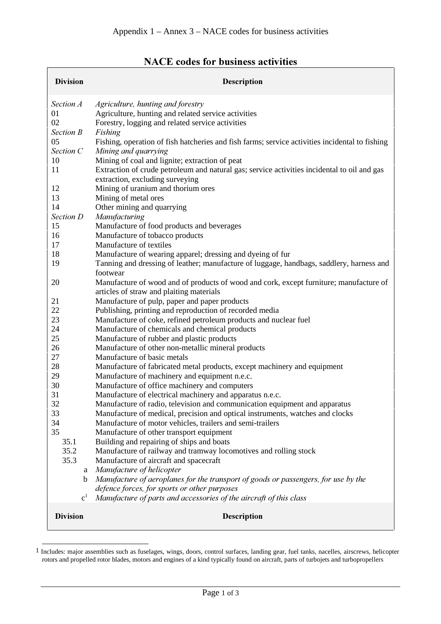| <b>Division</b>  | Description                                                                                                                        |
|------------------|------------------------------------------------------------------------------------------------------------------------------------|
| Section A        | Agriculture, hunting and forestry                                                                                                  |
| 01<br>02         | Agriculture, hunting and related service activities<br>Forestry, logging and related service activities                            |
| <b>Section B</b> | Fishing                                                                                                                            |
| 05               | Fishing, operation of fish hatcheries and fish farms; service activities incidental to fishing                                     |
| Section C        | Mining and quarrying                                                                                                               |
| 10               | Mining of coal and lignite; extraction of peat                                                                                     |
| 11               | Extraction of crude petroleum and natural gas; service activities incidental to oil and gas                                        |
|                  | extraction, excluding surveying                                                                                                    |
| 12<br>13         | Mining of uranium and thorium ores<br>Mining of metal ores                                                                         |
| 14               | Other mining and quarrying                                                                                                         |
| Section D        | Manufacturing                                                                                                                      |
| 15               | Manufacture of food products and beverages                                                                                         |
| 16               | Manufacture of tobacco products                                                                                                    |
| 17               | Manufacture of textiles                                                                                                            |
| 18               | Manufacture of wearing apparel; dressing and dyeing of fur                                                                         |
| 19               | Tanning and dressing of leather; manufacture of luggage, handbags, saddlery, harness and                                           |
|                  | footwear                                                                                                                           |
| 20               | Manufacture of wood and of products of wood and cork, except furniture; manufacture of<br>articles of straw and plaiting materials |
| 21               | Manufacture of pulp, paper and paper products                                                                                      |
| 22               | Publishing, printing and reproduction of recorded media                                                                            |
| 23               | Manufacture of coke, refined petroleum products and nuclear fuel                                                                   |
| 24               | Manufacture of chemicals and chemical products                                                                                     |
| 25               | Manufacture of rubber and plastic products                                                                                         |
| 26               | Manufacture of other non-metallic mineral products                                                                                 |
| 27               | Manufacture of basic metals                                                                                                        |
| 28               | Manufacture of fabricated metal products, except machinery and equipment                                                           |
| 29<br>30         | Manufacture of machinery and equipment n.e.c.<br>Manufacture of office machinery and computers                                     |
| 31               | Manufacture of electrical machinery and apparatus n.e.c.                                                                           |
| 32               | Manufacture of radio, television and communication equipment and apparatus                                                         |
| 33               | Manufacture of medical, precision and optical instruments, watches and clocks                                                      |
| 34               | Manufacture of motor vehicles, trailers and semi-trailers                                                                          |
| 35               | Manufacture of other transport equipment                                                                                           |
| 35.1             | Building and repairing of ships and boats                                                                                          |
| 35.2             | Manufacture of railway and tramway locomotives and rolling stock                                                                   |
| 35.3             | Manufacture of aircraft and spacecraft                                                                                             |
| a                | Manufacture of helicopter                                                                                                          |
| b                | Manufacture of aeroplanes for the transport of goods or passengers, for use by the<br>defence forces, for sports or other purposes |
| c <sup>1</sup>   | Manufacture of parts and accessories of the aircraft of this class                                                                 |
| <b>Division</b>  | <b>Description</b>                                                                                                                 |
|                  |                                                                                                                                    |

## NACE codes for business activities

 $\overline{a}$ 

<sup>1</sup> Includes: major assemblies such as fuselages, wings, doors, control surfaces, landing gear, fuel tanks, nacelles, airscrews, helicopter rotors and propelled rotor blades, motors and engines of a kind typically found on aircraft, parts of turbojets and turbopropellers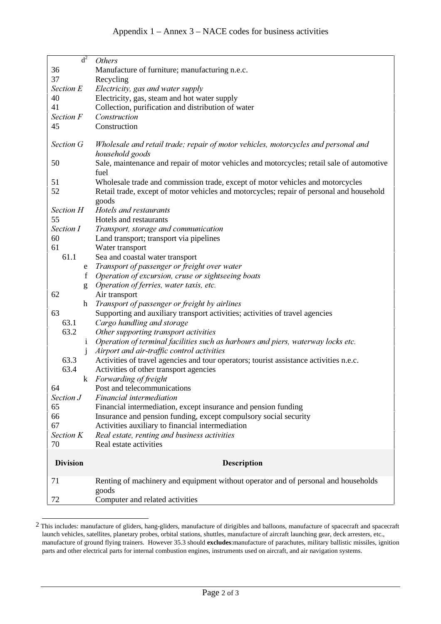| d <sup>2</sup>  | <b>Others</b>                                                                                                        |
|-----------------|----------------------------------------------------------------------------------------------------------------------|
| 36              | Manufacture of furniture; manufacturing n.e.c.                                                                       |
| 37              | Recycling                                                                                                            |
| Section E       | Electricity, gas and water supply                                                                                    |
| 40              | Electricity, gas, steam and hot water supply                                                                         |
| 41              | Collection, purification and distribution of water                                                                   |
| Section F       | Construction                                                                                                         |
| 45              | Construction                                                                                                         |
|                 |                                                                                                                      |
| Section G       | Wholesale and retail trade; repair of motor vehicles, motorcycles and personal and                                   |
|                 | household goods                                                                                                      |
| 50              | Sale, maintenance and repair of motor vehicles and motorcycles; retail sale of automotive                            |
|                 | fuel                                                                                                                 |
| 51              | Wholesale trade and commission trade, except of motor vehicles and motorcycles                                       |
| 52              | Retail trade, except of motor vehicles and motorcycles; repair of personal and household                             |
|                 | goods                                                                                                                |
| Section H       | Hotels and restaurants                                                                                               |
| 55              | Hotels and restaurants                                                                                               |
| Section I       | Transport, storage and communication                                                                                 |
| 60              | Land transport; transport via pipelines                                                                              |
| 61              | Water transport                                                                                                      |
| 61.1            | Sea and coastal water transport                                                                                      |
| e               | Transport of passenger or freight over water                                                                         |
| f               | Operation of excursion, cruse or sightseeing boats                                                                   |
| g               | Operation of ferries, water taxis, etc.                                                                              |
| 62              | Air transport                                                                                                        |
| h               | Transport of passenger or freight by airlines                                                                        |
| 63              | Supporting and auxiliary transport activities; activities of travel agencies                                         |
| 63.1            | Cargo handling and storage                                                                                           |
| 63.2            | Other supporting transport activities                                                                                |
| $\mathbf{i}$    | Operation of terminal facilities such as harbours and piers, waterway locks etc.                                     |
|                 | Airport and air-traffic control activities                                                                           |
| 63.3            | Activities of travel agencies and tour operators; tourist assistance activities n.e.c.                               |
| 63.4            | Activities of other transport agencies                                                                               |
|                 | k Forwarding of freight                                                                                              |
| 64              | Post and telecommunications                                                                                          |
| Section J       | <i>Financial intermediation</i>                                                                                      |
| 65<br>66        | Financial intermediation, except insurance and pension funding                                                       |
| 67              | Insurance and pension funding, except compulsory social security<br>Activities auxiliary to financial intermediation |
| Section K       | Real estate, renting and business activities                                                                         |
| 70              | Real estate activities                                                                                               |
|                 |                                                                                                                      |
| <b>Division</b> | <b>Description</b>                                                                                                   |
| 71              | Renting of machinery and equipment without operator and of personal and households<br>goods                          |
| 72              | Computer and related activities                                                                                      |

<sup>&</sup>lt;sup>2</sup> This includes: manufacture of gliders, hang-gliders, manufacture of dirigibles and balloons, manufacture of spacecraft and spacecraft launch vehicles, satellites, planetary probes, orbital stations, shuttles, manufacture of aircraft launching gear, deck arresters, etc., manufacture of ground flying trainers. However 35.3 should **excludes**:manufacture of parachutes, military ballistic missiles, ignition parts and other electrical parts for internal combustion engines, instruments used on aircraft, and air navigation systems.

 $\overline{a}$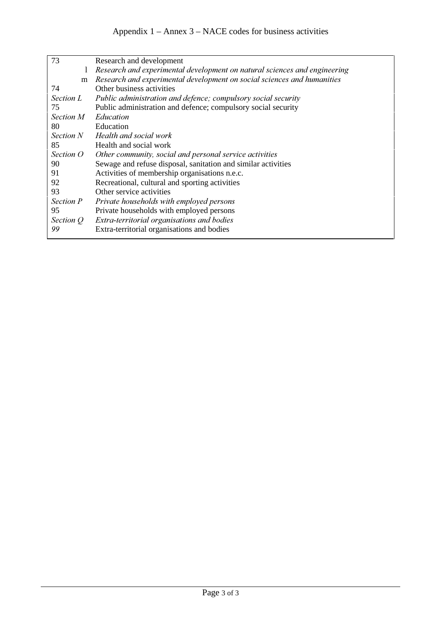| 73               | Research and development                                                  |
|------------------|---------------------------------------------------------------------------|
| 1                | Research and experimental development on natural sciences and engineering |
| m                | Research and experimental development on social sciences and humanities   |
| 74               | Other business activities                                                 |
| Section L        | Public administration and defence; compulsory social security             |
| 75               | Public administration and defence; compulsory social security             |
| <i>Section M</i> | Education                                                                 |
| 80               | Education                                                                 |
| <i>Section N</i> | Health and social work                                                    |
| 85               | Health and social work                                                    |
| Section O        | Other community, social and personal service activities                   |
| 90               | Sewage and refuse disposal, sanitation and similar activities             |
| 91               | Activities of membership organisations n.e.c.                             |
| 92               | Recreational, cultural and sporting activities                            |
| 93               | Other service activities                                                  |
| Section P        | Private households with employed persons                                  |
| 95               | Private households with employed persons                                  |
| Section Q        | Extra-territorial organisations and bodies                                |
| 99               | Extra-territorial organisations and bodies                                |
|                  |                                                                           |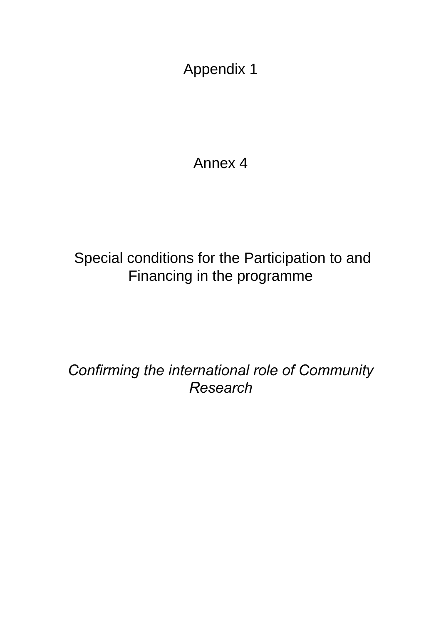Annex 4

# Special conditions for the Participation to and Financing in the programme

Confirming the international role of Community **Research**